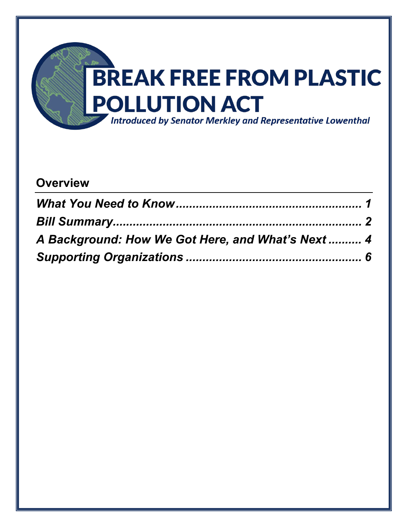

# **Overview**

| A Background: How We Got Here, and What's Next  4 |  |
|---------------------------------------------------|--|
|                                                   |  |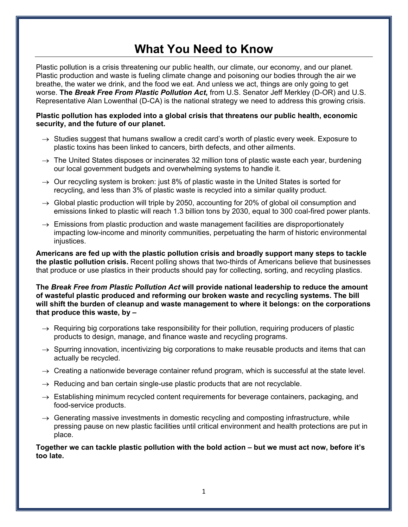# **What You Need to Know**

<span id="page-1-0"></span>Plastic pollution is a crisis threatening our public health, our climate, our economy, and our planet. Plastic production and waste is fueling climate change and poisoning our bodies through the air we breathe, the water we drink, and the food we eat. And unless we act, things are only going to get worse. **The** *Break Free From Plastic Pollution Act***,** from U.S. Senator Jeff Merkley (D-OR) and U.S. Representative Alan Lowenthal (D-CA) is the national strategy we need to address this growing crisis.

#### **Plastic pollution has exploded into a global crisis that threatens our public health, economic security, and the future of our planet.**

- $\rightarrow$  Studies suggest that humans swallow a credit card's worth of plastic every week. Exposure to plastic toxins has been linked to cancers, birth defects, and other ailments.
- $\rightarrow$  The United States disposes or incinerates 32 million tons of plastic waste each year, burdening our local government budgets and overwhelming systems to handle it.
- $\rightarrow$  Our recycling system is broken: just 8% of plastic waste in the United States is sorted for recycling, and less than 3% of plastic waste is recycled into a similar quality product.
- $\rightarrow$  Global plastic production will triple by 2050, accounting for 20% of global oil consumption and emissions linked to plastic will reach 1.3 billion tons by 2030, equal to 300 coal-fired power plants.
- $\rightarrow$  Emissions from plastic production and waste management facilities are disproportionately impacting low-income and minority communities, perpetuating the harm of historic environmental injustices.

**Americans are fed up with the plastic pollution crisis and broadly support many steps to tackle the plastic pollution crisis.** Recent polling shows that two-thirds of Americans believe that businesses that produce or use plastics in their products should pay for collecting, sorting, and recycling plastics.

**The** *Break Free from Plastic Pollution Act* **will provide national leadership to reduce the amount of wasteful plastic produced and reforming our broken waste and recycling systems. The bill will shift the burden of cleanup and waste management to where it belongs: on the corporations that produce this waste, by –**

- $\rightarrow$  Requiring big corporations take responsibility for their pollution, requiring producers of plastic products to design, manage, and finance waste and recycling programs.
- $\rightarrow$  Spurring innovation, incentivizing big corporations to make reusable products and items that can actually be recycled.
- $\rightarrow$  Creating a nationwide beverage container refund program, which is successful at the state level.
- $\rightarrow$  Reducing and ban certain single-use plastic products that are not recyclable.
- $\rightarrow$  Establishing minimum recycled content requirements for beverage containers, packaging, and food-service products.
- $\rightarrow$  Generating massive investments in domestic recycling and composting infrastructure, while pressing pause on new plastic facilities until critical environment and health protections are put in place.

**Together we can tackle plastic pollution with the bold action – but we must act now, before it's too late.**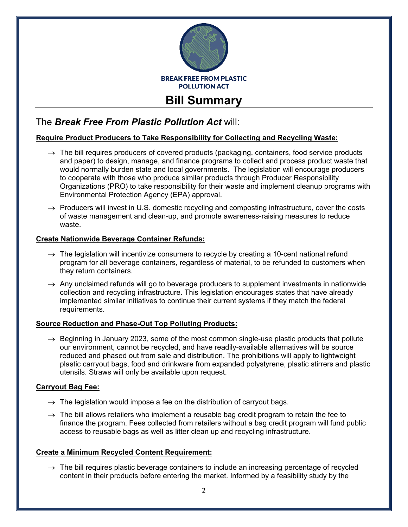

# <span id="page-2-0"></span>The *Break Free From Plastic Pollution Act* will:

# **Require Product Producers to Take Responsibility for Collecting and Recycling Waste:**

- $\rightarrow$  The bill requires producers of covered products (packaging, containers, food service products and paper) to design, manage, and finance programs to collect and process product waste that would normally burden state and local governments. The legislation will encourage producers to cooperate with those who produce similar products through Producer Responsibility Organizations (PRO) to take responsibility for their waste and implement cleanup programs with Environmental Protection Agency (EPA) approval.
- $\rightarrow$  Producers will invest in U.S. domestic recycling and composting infrastructure, cover the costs of waste management and clean-up, and promote awareness-raising measures to reduce waste.

## **Create Nationwide Beverage Container Refunds:**

- $\rightarrow$  The legislation will incentivize consumers to recycle by creating a 10-cent national refund program for all beverage containers, regardless of material, to be refunded to customers when they return containers.
- $\rightarrow$  Any unclaimed refunds will go to beverage producers to supplement investments in nationwide collection and recycling infrastructure. This legislation encourages states that have already implemented similar initiatives to continue their current systems if they match the federal requirements.

## **Source Reduction and Phase-Out Top Polluting Products:**

 $\rightarrow$  Beginning in January 2023, some of the most common single-use plastic products that pollute our environment, cannot be recycled, and have readily-available alternatives will be source reduced and phased out from sale and distribution. The prohibitions will apply to lightweight plastic carryout bags, food and drinkware from expanded polystyrene, plastic stirrers and plastic utensils. Straws will only be available upon request.

## **Carryout Bag Fee:**

- $\rightarrow$  The legislation would impose a fee on the distribution of carryout bags.
- $\rightarrow$  The bill allows retailers who implement a reusable bag credit program to retain the fee to finance the program. Fees collected from retailers without a bag credit program will fund public access to reusable bags as well as litter clean up and recycling infrastructure.

#### **Create a Minimum Recycled Content Requirement:**

 $\rightarrow$  The bill requires plastic beverage containers to include an increasing percentage of recycled content in their products before entering the market. Informed by a feasibility study by the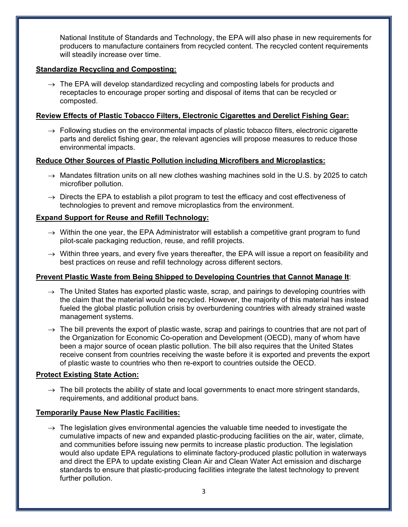National Institute of Standards and Technology, the EPA will also phase in new requirements for producers to manufacture containers from recycled content. The recycled content requirements will steadily increase over time.

## **Standardize Recycling and Composting:**

 $\rightarrow$  The EPA will develop standardized recycling and composting labels for products and receptacles to encourage proper sorting and disposal of items that can be recycled or composted.

#### **Review Effects of Plastic Tobacco Filters, Electronic Cigarettes and Derelict Fishing Gear:**

 $\rightarrow$  Following studies on the environmental impacts of plastic tobacco filters, electronic cigarette parts and derelict fishing gear, the relevant agencies will propose measures to reduce those environmental impacts.

#### **Reduce Other Sources of Plastic Pollution including Microfibers and Microplastics:**

- $\rightarrow$  Mandates filtration units on all new clothes washing machines sold in the U.S. by 2025 to catch microfiber pollution.
- $\rightarrow$  Directs the EPA to establish a pilot program to test the efficacy and cost effectiveness of technologies to prevent and remove microplastics from the environment.

#### **Expand Support for Reuse and Refill Technology:**

- $\rightarrow$  Within the one year, the EPA Administrator will establish a competitive grant program to fund pilot-scale packaging reduction, reuse, and refill projects.
- $\rightarrow$  Within three years, and every five years thereafter, the EPA will issue a report on feasibility and best practices on reuse and refill technology across different sectors.

## **Prevent Plastic Waste from Being Shipped to Developing Countries that Cannot Manage It**:

- $\rightarrow$  The United States has exported plastic waste, scrap, and pairings to developing countries with the claim that the material would be recycled. However, the majority of this material has instead fueled the global plastic pollution crisis by overburdening countries with already strained waste management systems.
- $\rightarrow$  The bill prevents the export of plastic waste, scrap and pairings to countries that are not part of the Organization for Economic Co-operation and Development (OECD), many of whom have been a major source of ocean plastic pollution. The bill also requires that the United States receive consent from countries receiving the waste before it is exported and prevents the export of plastic waste to countries who then re-export to countries outside the OECD.

#### **Protect Existing State Action:**

 $\rightarrow$  The bill protects the ability of state and local governments to enact more stringent standards, requirements, and additional product bans.

#### **Temporarily Pause New Plastic Facilities:**

 $\rightarrow$  The legislation gives environmental agencies the valuable time needed to investigate the cumulative impacts of new and expanded plastic-producing facilities on the air, water, climate, and communities before issuing new permits to increase plastic production. The legislation would also update EPA regulations to eliminate factory-produced plastic pollution in waterways and direct the EPA to update existing Clean Air and Clean Water Act emission and discharge standards to ensure that plastic-producing facilities integrate the latest technology to prevent further pollution.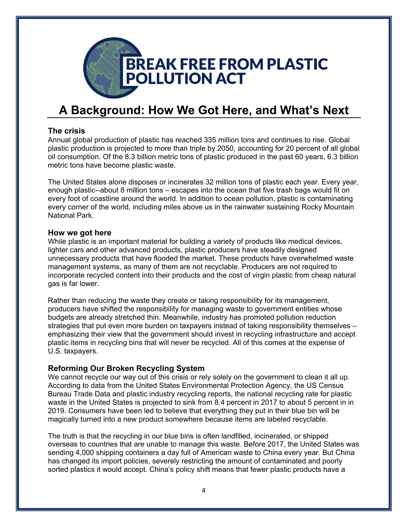

# <span id="page-4-0"></span>**A Background: How We Got Here, and What's Next**

# **The crisis**

Annual global production of plastic has reached 335 million tons and continues to rise. Global plastic production is projected to more than triple by 2050, accounting for 20 percent of all global oil consumption. Of the 8.3 billion metric tons of plastic produced in the past 60 years, 6.3 billion metric tons have become plastic waste.

The United States alone disposes or incinerates 32 million tons of plastic each year. Every year, enough plastic--about 8 million tons – escapes into the ocean that five trash bags would fit on every foot of coastline around the world. In addition to ocean pollution, plastic is contaminating every corner of the world, including miles above us in the rainwater sustaining Rocky Mountain National Park.

#### **How we got here**

While plastic is an important material for building a variety of products like medical devices, lighter cars and other advanced products, plastic producers have steadily designed unnecessary products that have flooded the market. These products have overwhelmed waste management systems, as many of them are not recyclable. Producers are not required to incorporate recycled content into their products and the cost of virgin plastic from cheap natural gas is far lower.

Rather than reducing the waste they create or taking responsibility for its management, producers have shifted the responsibility for managing waste to government entities whose budgets are already stretched thin. Meanwhile, industry has promoted pollution reduction strategies that put even more burden on taxpayers instead of taking responsibility themselves – emphasizing their view that the government should invest in recycling infrastructure and accept plastic items in recycling bins that will never be recycled. All of this comes at the expense of U.S. taxpayers.

# **Reforming Our Broken Recycling System**

We cannot recycle our way out of this crisis or rely solely on the government to clean it all up. According to data from the United States Environmental Protection Agency, the US Census Bureau Trade Data and plastic industry recycling reports, the national recycling rate for plastic waste in the United States is projected to sink from 8.4 percent in 2017 to about 5 percent in in 2019. Consumers have been led to believe that everything they put in their blue bin will be magically turned into a new product somewhere because items are labeled recyclable.

The truth is that the recycling in our blue bins is often landfilled, incinerated, or shipped overseas to countries that are unable to manage this waste. Before 2017, the United States was sending 4,000 shipping containers a day full of American waste to China every year. But China has changed its import policies, severely restricting the amount of contaminated and poorly sorted plastics it would accept. China's policy shift means that fewer plastic products have a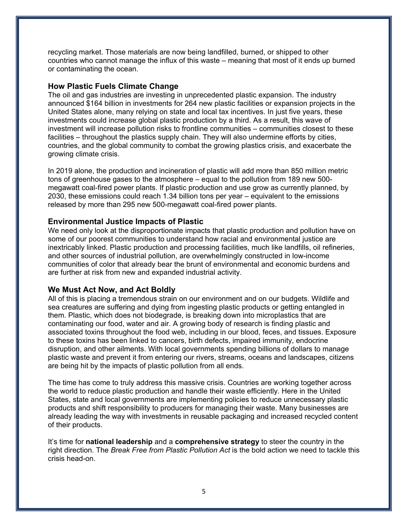recycling market. Those materials are now being landfilled, burned, or shipped to other countries who cannot manage the influx of this waste – meaning that most of it ends up burned or contaminating the ocean.

## **How Plastic Fuels Climate Change**

The oil and gas industries are investing in unprecedented plastic expansion. The industry announced \$164 billion in investments for 264 new plastic facilities or expansion projects in the United States alone, many relying on state and local tax incentives. In just five years, these investments could increase global plastic production by a third. As a result, this wave of investment will increase pollution risks to frontline communities – communities closest to these facilities – throughout the plastics supply chain. They will also undermine efforts by cities, countries, and the global community to combat the growing plastics crisis, and exacerbate the growing climate crisis.

In 2019 alone, the production and incineration of plastic will add more than 850 million metric tons of greenhouse gases to the atmosphere – equal to the pollution from 189 new 500 megawatt coal-fired power plants. If plastic production and use grow as currently planned, by 2030, these emissions could reach 1.34 billion tons per year – equivalent to the emissions released by more than 295 new 500-megawatt coal-fired power plants.

## **Environmental Justice Impacts of Plastic**

We need only look at the disproportionate impacts that plastic production and pollution have on some of our poorest communities to understand how racial and environmental justice are inextricably linked. Plastic production and processing facilities, much like landfills, oil refineries, and other sources of industrial pollution, are overwhelmingly constructed in low-income communities of color that already bear the brunt of environmental and economic burdens and are further at risk from new and expanded industrial activity.

## **We Must Act Now, and Act Boldly**

All of this is placing a tremendous strain on our environment and on our budgets. Wildlife and sea creatures are suffering and dying from ingesting plastic products or getting entangled in them. Plastic, which does not biodegrade, is breaking down into microplastics that are contaminating our food, water and air. A growing body of research is finding plastic and associated toxins throughout the food web, including in our blood, feces, and tissues. Exposure to these toxins has been linked to cancers, birth defects, impaired immunity, endocrine disruption, and other ailments. With local governments spending billions of dollars to manage plastic waste and prevent it from entering our rivers, streams, oceans and landscapes, citizens are being hit by the impacts of plastic pollution from all ends.

The time has come to truly address this massive crisis. Countries are working together across the world to reduce plastic production and handle their waste efficiently. Here in the United States, state and local governments are implementing policies to reduce unnecessary plastic products and shift responsibility to producers for managing their waste. Many businesses are already leading the way with investments in reusable packaging and increased recycled content of their products.

It's time for **national leadership** and a **comprehensive strategy** to steer the country in the right direction. The *Break Free from Plastic Pollution Act* is the bold action we need to tackle this crisis head-on.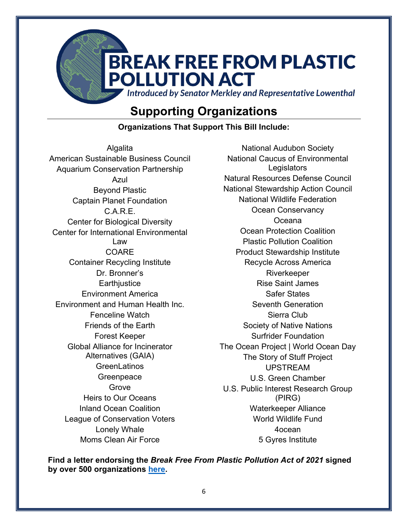

# **Supporting Organizations**

**Organizations That Support This Bill Include:**

<span id="page-6-0"></span>**Algalita** American Sustainable Business Council Aquarium Conservation Partnership Azul Beyond Plastic Captain Planet Foundation C.A.R.E. Center for Biological Diversity Center for International Environmental Law COARE Container Recycling Institute Dr. Bronner's Earthjustice Environment America Environment and Human Health Inc. Fenceline Watch Friends of the Earth Forest Keeper Global Alliance for Incinerator Alternatives (GAIA) **GreenLatinos Greenpeace** Grove Heirs to Our Oceans Inland Ocean Coalition League of Conservation Voters Lonely Whale Moms Clean Air Force

National Audubon Society National Caucus of Environmental **Legislators** Natural Resources Defense Council National Stewardship Action Council National Wildlife Federation Ocean Conservancy Oceana Ocean Protection Coalition Plastic Pollution Coalition Product Stewardship Institute Recycle Across America Riverkeeper Rise Saint James Safer States Seventh Generation Sierra Club Society of Native Nations Surfrider Foundation The Ocean Project | World Ocean Day The Story of Stuff Project UPSTREAM U.S. Green Chamber U.S. Public Interest Research Group (PIRG) Waterkeeper Alliance World Wildlife Fund 4ocean 5 Gyres Institute

**Find a letter endorsing the** *Break Free From Plastic Pollution Act of 2021* **signed by over 500 organizations [here.](https://docs.google.com/document/d/10MZzvE8wP3KPXfh9eRFNNfX9a1iLOocXCdAEUoRsza0/edit)**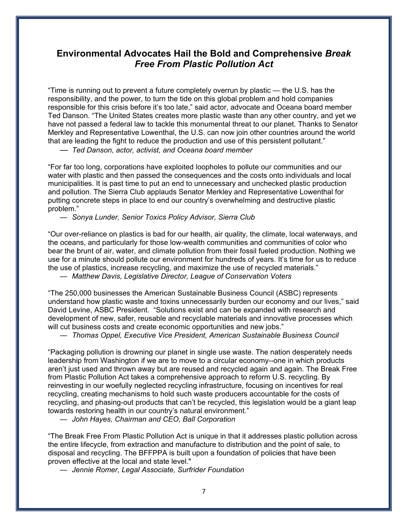# **Environmental Advocates Hail the Bold and Comprehensive** *Break Free From Plastic Pollution Act*

"Time is running out to prevent a future completely overrun by plastic — the U.S. has the responsibility, and the power, to turn the tide on this global problem and hold companies responsible for this crisis before it's too late," said actor, advocate and Oceana board member Ted Danson. "The United States creates more plastic waste than any other country, and yet we have not passed a federal law to tackle this monumental threat to our planet. Thanks to Senator Merkley and Representative Lowenthal, the U.S. can now join other countries around the world that are leading the fight to reduce the production and use of this persistent pollutant."

— *Ted Danson, actor, activist, and Oceana board member*

"For far too long, corporations have exploited loopholes to pollute our communities and our water with plastic and then passed the consequences and the costs onto individuals and local municipalities. It is past time to put an end to unnecessary and unchecked plastic production and pollution. The Sierra Club applauds Senator Merkley and Representative Lowenthal for putting concrete steps in place to end our country's overwhelming and destructive plastic problem."

— *Sonya Lunder, Senior Toxics Policy Advisor, Sierra Club*

"Our over-reliance on plastics is bad for our health, air quality, the climate, local waterways, and the oceans, and particularly for those low-wealth communities and communities of color who bear the brunt of air, water, and climate pollution from their fossil fueled production. Nothing we use for a minute should pollute our environment for hundreds of years. It's time for us to reduce the use of plastics, increase recycling, and maximize the use of recycled materials."

— *Matthew Davis, Legislative Director, League of Conservation Voters* 

"The 250,000 businesses the American Sustainable Business Council (ASBC) represents understand how plastic waste and toxins unnecessarily burden our economy and our lives," said David Levine, ASBC President. "Solutions exist and can be expanded with research and development of new, safer, reusable and recyclable materials and innovative processes which will cut business costs and create economic opportunities and new jobs."

— *Thomas Oppel, Executive Vice President, American Sustainable Business Council* 

"Packaging pollution is drowning our planet in single use waste. The nation desperately needs leadership from Washington if we are to move to a circular economy--one in which products aren't just used and thrown away but are reused and recycled again and again. The Break Free from Plastic Pollution Act takes a comprehensive approach to reform U.S. recycling. By reinvesting in our woefully neglected recycling infrastructure, focusing on incentives for real recycling, creating mechanisms to hold such waste producers accountable for the costs of recycling, and phasing-out products that can't be recycled, this legislation would be a giant leap towards restoring health in our country's natural environment."

— *John Hayes, Chairman and CEO, Ball Corporation*

"The Break Free From Plastic Pollution Act is unique in that it addresses plastic pollution across the entire lifecycle, from extraction and manufacture to distribution and the point of sale, to disposal and recycling. The BFFPPA is built upon a foundation of policies that have been proven effective at the local and state level."

— *Jennie Romer, Legal Associate, Surfrider Foundation*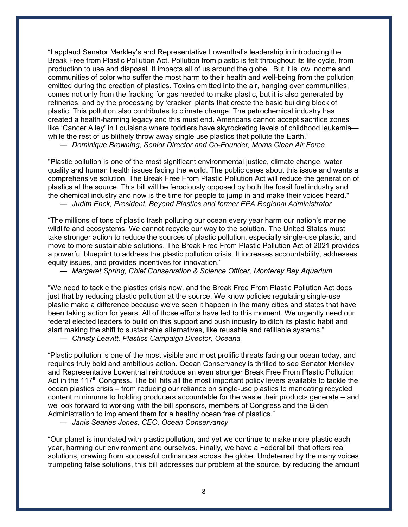"I applaud Senator Merkley's and Representative Lowenthal's leadership in introducing the Break Free from Plastic Pollution Act. Pollution from plastic is felt throughout its life cycle, from production to use and disposal. It impacts all of us around the globe. But it is low income and communities of color who suffer the most harm to their health and well-being from the pollution emitted during the creation of plastics. Toxins emitted into the air, hanging over communities, comes not only from the fracking for gas needed to make plastic, but it is also generated by refineries, and by the processing by 'cracker' plants that create the basic building block of plastic. This pollution also contributes to climate change. The petrochemical industry has created a health-harming legacy and this must end. Americans cannot accept sacrifice zones like 'Cancer Alley' in Louisiana where toddlers have skyrocketing levels of childhood leukemia while the rest of us blithely throw away single use plastics that pollute the Earth."

— *Dominique Browning, Senior Director and Co-Founder, Moms Clean Air Force*

"Plastic pollution is one of the most significant environmental justice, climate change, water quality and human health issues facing the world. The public cares about this issue and wants a comprehensive solution. The Break Free From Plastic Pollution Act will reduce the generation of plastics at the source. This bill will be ferociously opposed by both the fossil fuel industry and the chemical industry and now is the time for people to jump in and make their voices heard." — *Judith Enck, President, Beyond Plastics and former EPA Regional Administrator*

"The millions of tons of plastic trash polluting our ocean every year harm our nation's marine wildlife and ecosystems. We cannot recycle our way to the solution. The United States must take stronger action to reduce the sources of plastic pollution, especially single-use plastic, and move to more sustainable solutions. The Break Free From Plastic Pollution Act of 2021 provides a powerful blueprint to address the plastic pollution crisis. It increases accountability, addresses equity issues, and provides incentives for innovation."

— *Margaret Spring, Chief Conservation & Science Officer, Monterey Bay Aquarium*

"We need to tackle the plastics crisis now, and the Break Free From Plastic Pollution Act does just that by reducing plastic pollution at the source. We know policies regulating single-use plastic make a difference because we've seen it happen in the many cities and states that have been taking action for years. All of those efforts have led to this moment. We urgently need our federal elected leaders to build on this support and push industry to ditch its plastic habit and start making the shift to sustainable alternatives, like reusable and refillable systems."

— *Christy Leavitt, Plastics Campaign Director, Oceana*

"Plastic pollution is one of the most visible and most prolific threats facing our ocean today, and requires truly bold and ambitious action. Ocean Conservancy is thrilled to see Senator Merkley and Representative Lowenthal reintroduce an even stronger Break Free From Plastic Pollution Act in the 117<sup>th</sup> Congress. The bill hits all the most important policy levers available to tackle the ocean plastics crisis – from reducing our reliance on single-use plastics to mandating recycled content minimums to holding producers accountable for the waste their products generate – and we look forward to working with the bill sponsors, members of Congress and the Biden Administration to implement them for a healthy ocean free of plastics."

— *Janis Searles Jones, CEO, Ocean Conservancy*

"Our planet is inundated with plastic pollution, and yet we continue to make more plastic each year, harming our environment and ourselves. Finally, we have a Federal bill that offers real solutions, drawing from successful ordinances across the globe. Undeterred by the many voices trumpeting false solutions, this bill addresses our problem at the source, by reducing the amount